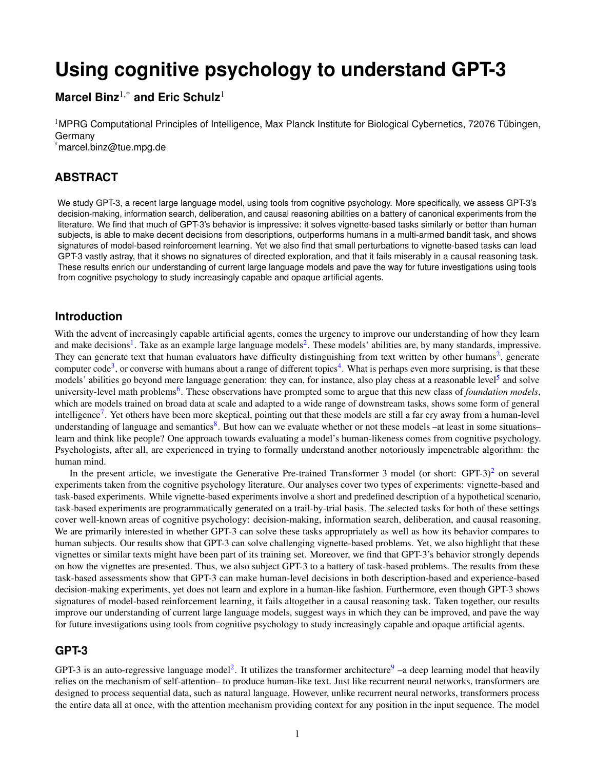# **Using cognitive psychology to understand GPT-3**

# **Marcel Binz**1,\* **and Eric Schulz**<sup>1</sup>

<sup>1</sup>MPRG Computational Principles of Intelligence, Max Planck Institute for Biological Cybernetics, 72076 Tübingen, Germany \*marcel.binz@tue.mpg.de

**ABSTRACT**

We study GPT-3, a recent large language model, using tools from cognitive psychology. More specifically, we assess GPT-3's decision-making, information search, deliberation, and causal reasoning abilities on a battery of canonical experiments from the literature. We find that much of GPT-3's behavior is impressive: it solves vignette-based tasks similarly or better than human subjects, is able to make decent decisions from descriptions, outperforms humans in a multi-armed bandit task, and shows signatures of model-based reinforcement learning. Yet we also find that small perturbations to vignette-based tasks can lead GPT-3 vastly astray, that it shows no signatures of directed exploration, and that it fails miserably in a causal reasoning task. These results enrich our understanding of current large language models and pave the way for future investigations using tools from cognitive psychology to study increasingly capable and opaque artificial agents.

# **Introduction**

With the advent of increasingly capable artificial agents, comes the urgency to improve our understanding of how they learn and make decisions<sup>[1](#page-10-0)</sup>. Take as an example large language models<sup>[2](#page-10-1)</sup>. These models' abilities are, by many standards, impressive. They can generate text that human evaluators have difficulty distinguishing from text written by other humans<sup>[2](#page-10-1)</sup>, generate computer code<sup>[3](#page-10-2)</sup>, or converse with humans about a range of different topics<sup>[4](#page-10-3)</sup>. What is perhaps even more surprising, is that these models' abilities go beyond mere language generation: they can, for instance, also play chess at a reasonable level<sup>[5](#page-10-4)</sup> and solve university-level math problems<sup>[6](#page-10-5)</sup>. These observations have prompted some to argue that this new class of *foundation models*, which are models trained on broad data at scale and adapted to a wide range of downstream tasks, shows some form of general intelligence<sup>[7](#page-10-6)</sup>. Yet others have been more skeptical, pointing out that these models are still a far cry away from a human-level understanding of language and semantics<sup>[8](#page-10-7)</sup>. But how can we evaluate whether or not these models -at least in some situationslearn and think like people? One approach towards evaluating a model's human-likeness comes from cognitive psychology. Psychologists, after all, are experienced in trying to formally understand another notoriously impenetrable algorithm: the human mind.

In the present article, we investigate the Generative Pre-trained Transformer 3 model (or short:  $GPT-3$ )<sup>[2](#page-10-1)</sup> on several experiments taken from the cognitive psychology literature. Our analyses cover two types of experiments: vignette-based and task-based experiments. While vignette-based experiments involve a short and predefined description of a hypothetical scenario, task-based experiments are programmatically generated on a trail-by-trial basis. The selected tasks for both of these settings cover well-known areas of cognitive psychology: decision-making, information search, deliberation, and causal reasoning. We are primarily interested in whether GPT-3 can solve these tasks appropriately as well as how its behavior compares to human subjects. Our results show that GPT-3 can solve challenging vignette-based problems. Yet, we also highlight that these vignettes or similar texts might have been part of its training set. Moreover, we find that GPT-3's behavior strongly depends on how the vignettes are presented. Thus, we also subject GPT-3 to a battery of task-based problems. The results from these task-based assessments show that GPT-3 can make human-level decisions in both description-based and experience-based decision-making experiments, yet does not learn and explore in a human-like fashion. Furthermore, even though GPT-3 shows signatures of model-based reinforcement learning, it fails altogether in a causal reasoning task. Taken together, our results improve our understanding of current large language models, suggest ways in which they can be improved, and pave the way for future investigations using tools from cognitive psychology to study increasingly capable and opaque artificial agents.

## **GPT-3**

GPT-3 is an auto-regressive language model<sup>[2](#page-10-1)</sup>. It utilizes the transformer architecture<sup>[9](#page-10-8)</sup> –a deep learning model that heavily relies on the mechanism of self-attention– to produce human-like text. Just like recurrent neural networks, transformers are designed to process sequential data, such as natural language. However, unlike recurrent neural networks, transformers process the entire data all at once, with the attention mechanism providing context for any position in the input sequence. The model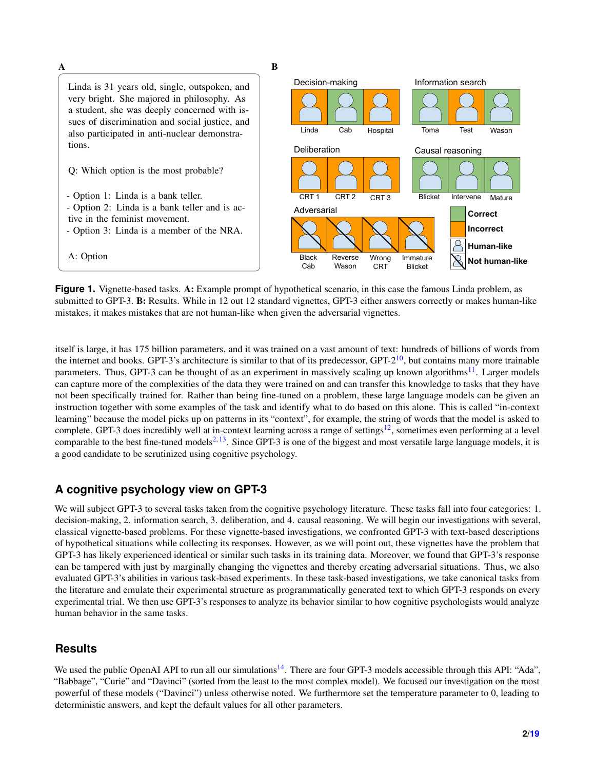<span id="page-1-0"></span>

**Figure 1.** Vignette-based tasks. A: Example prompt of hypothetical scenario, in this case the famous Linda problem, as submitted to GPT-3. B: Results. While in 12 out 12 standard vignettes, GPT-3 either answers correctly or makes human-like mistakes, it makes mistakes that are not human-like when given the adversarial vignettes.

itself is large, it has 175 billion parameters, and it was trained on a vast amount of text: hundreds of billions of words from the internet and books. GPT-3's architecture is similar to that of its predecessor,  $GPT-2^{10}$  $GPT-2^{10}$  $GPT-2^{10}$ , but contains many more trainable parameters. Thus, GPT-3 can be thought of as an experiment in massively scaling up known algorithms<sup>[11](#page-10-10)</sup>. Larger models can capture more of the complexities of the data they were trained on and can transfer this knowledge to tasks that they have not been specifically trained for. Rather than being fine-tuned on a problem, these large language models can be given an instruction together with some examples of the task and identify what to do based on this alone. This is called "in-context learning" because the model picks up on patterns in its "context", for example, the string of words that the model is asked to complete. GPT-3 does incredibly well at in-context learning across a range of settings<sup>[12](#page-10-11)</sup>, sometimes even performing at a level comparable to the best fine-tuned models $^{2,13}$  $^{2,13}$  $^{2,13}$  $^{2,13}$ . Since GPT-3 is one of the biggest and most versatile large language models, it is a good candidate to be scrutinized using cognitive psychology.

# **A cognitive psychology view on GPT-3**

We will subject GPT-3 to several tasks taken from the cognitive psychology literature. These tasks fall into four categories: 1. decision-making, 2. information search, 3. deliberation, and 4. causal reasoning. We will begin our investigations with several, classical vignette-based problems. For these vignette-based investigations, we confronted GPT-3 with text-based descriptions of hypothetical situations while collecting its responses. However, as we will point out, these vignettes have the problem that GPT-3 has likely experienced identical or similar such tasks in its training data. Moreover, we found that GPT-3's response can be tampered with just by marginally changing the vignettes and thereby creating adversarial situations. Thus, we also evaluated GPT-3's abilities in various task-based experiments. In these task-based investigations, we take canonical tasks from the literature and emulate their experimental structure as programmatically generated text to which GPT-3 responds on every experimental trial. We then use GPT-3's responses to analyze its behavior similar to how cognitive psychologists would analyze human behavior in the same tasks.

# **Results**

We used the public OpenAI API to run all our simulations<sup>[14](#page-10-13)</sup>. There are four GPT-3 models accessible through this API: "Ada", "Babbage", "Curie" and "Davinci" (sorted from the least to the most complex model). We focused our investigation on the most powerful of these models ("Davinci") unless otherwise noted. We furthermore set the temperature parameter to 0, leading to deterministic answers, and kept the default values for all other parameters.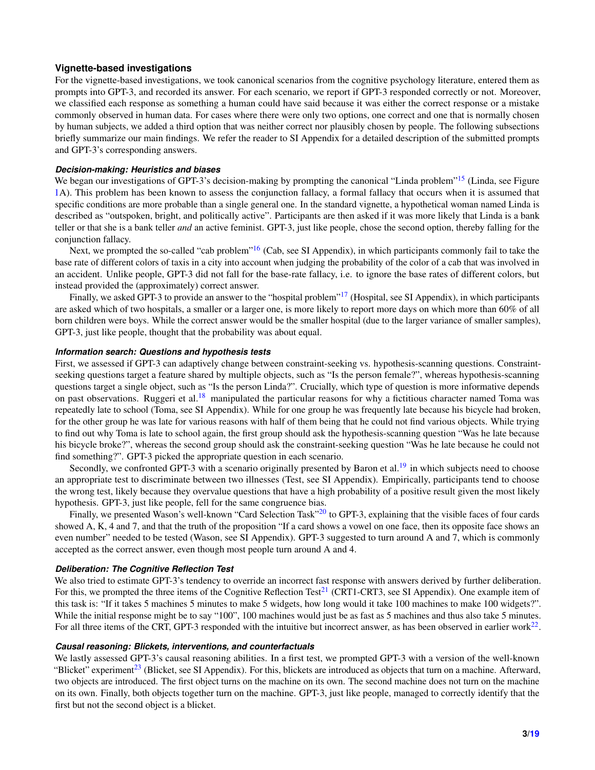#### **Vignette-based investigations**

For the vignette-based investigations, we took canonical scenarios from the cognitive psychology literature, entered them as prompts into GPT-3, and recorded its answer. For each scenario, we report if GPT-3 responded correctly or not. Moreover, we classified each response as something a human could have said because it was either the correct response or a mistake commonly observed in human data. For cases where there were only two options, one correct and one that is normally chosen by human subjects, we added a third option that was neither correct nor plausibly chosen by people. The following subsections briefly summarize our main findings. We refer the reader to SI Appendix for a detailed description of the submitted prompts and GPT-3's corresponding answers.

#### *Decision-making: Heuristics and biases*

We began our investigations of GPT-3's decision-making by prompting the canonical "Linda problem"<sup>[15](#page-10-14)</sup> (Linda, see Figure [1A](#page-1-0)). This problem has been known to assess the conjunction fallacy, a formal fallacy that occurs when it is assumed that specific conditions are more probable than a single general one. In the standard vignette, a hypothetical woman named Linda is described as "outspoken, bright, and politically active". Participants are then asked if it was more likely that Linda is a bank teller or that she is a bank teller *and* an active feminist. GPT-3, just like people, chose the second option, thereby falling for the conjunction fallacy.

Next, we prompted the so-called "cab problem"<sup>[16](#page-10-15)</sup> (Cab, see SI Appendix), in which participants commonly fail to take the base rate of different colors of taxis in a city into account when judging the probability of the color of a cab that was involved in an accident. Unlike people, GPT-3 did not fall for the base-rate fallacy, i.e. to ignore the base rates of different colors, but instead provided the (approximately) correct answer.

Finally, we asked GPT-3 to provide an answer to the "hospital problem"<sup>[17](#page-10-16)</sup> (Hospital, see SI Appendix), in which participants are asked which of two hospitals, a smaller or a larger one, is more likely to report more days on which more than 60% of all born children were boys. While the correct answer would be the smaller hospital (due to the larger variance of smaller samples), GPT-3, just like people, thought that the probability was about equal.

#### *Information search: Questions and hypothesis tests*

First, we assessed if GPT-3 can adaptively change between constraint-seeking vs. hypothesis-scanning questions. Constraintseeking questions target a feature shared by multiple objects, such as "Is the person female?", whereas hypothesis-scanning questions target a single object, such as "Is the person Linda?". Crucially, which type of question is more informative depends on past observations. Ruggeri et al.<sup>[18](#page-10-17)</sup> manipulated the particular reasons for why a fictitious character named Toma was repeatedly late to school (Toma, see SI Appendix). While for one group he was frequently late because his bicycle had broken, for the other group he was late for various reasons with half of them being that he could not find various objects. While trying to find out why Toma is late to school again, the first group should ask the hypothesis-scanning question "Was he late because his bicycle broke?", whereas the second group should ask the constraint-seeking question "Was he late because he could not find something?". GPT-3 picked the appropriate question in each scenario.

Secondly, we confronted GPT-3 with a scenario originally presented by Baron et al.<sup>[19](#page-10-18)</sup> in which subjects need to choose an appropriate test to discriminate between two illnesses (Test, see SI Appendix). Empirically, participants tend to choose the wrong test, likely because they overvalue questions that have a high probability of a positive result given the most likely hypothesis. GPT-3, just like people, fell for the same congruence bias.

Finally, we presented Wason's well-known "Card Selection Task"<sup>[20](#page-10-19)</sup> to GPT-3, explaining that the visible faces of four cards showed A, K, 4 and 7, and that the truth of the proposition "If a card shows a vowel on one face, then its opposite face shows an even number" needed to be tested (Wason, see SI Appendix). GPT-3 suggested to turn around A and 7, which is commonly accepted as the correct answer, even though most people turn around A and 4.

#### *Deliberation: The Cognitive Reflection Test*

We also tried to estimate GPT-3's tendency to override an incorrect fast response with answers derived by further deliberation. For this, we prompted the three items of the Cognitive Reflection Test<sup>[21](#page-10-20)</sup> (CRT1-CRT3, see SI Appendix). One example item of this task is: "If it takes 5 machines 5 minutes to make 5 widgets, how long would it take 100 machines to make 100 widgets?". While the initial response might be to say "100", 100 machines would just be as fast as 5 machines and thus also take 5 minutes. For all three items of the CRT, GPT-3 responded with the intuitive but incorrect answer, as has been observed in earlier work $^{22}$  $^{22}$  $^{22}$ .

#### *Causal reasoning: Blickets, interventions, and counterfactuals*

We lastly assessed GPT-3's causal reasoning abilities. In a first test, we prompted GPT-3 with a version of the well-known "Blicket" experiment<sup>[23](#page-10-22)</sup> (Blicket, see SI Appendix). For this, blickets are introduced as objects that turn on a machine. Afterward, two objects are introduced. The first object turns on the machine on its own. The second machine does not turn on the machine on its own. Finally, both objects together turn on the machine. GPT-3, just like people, managed to correctly identify that the first but not the second object is a blicket.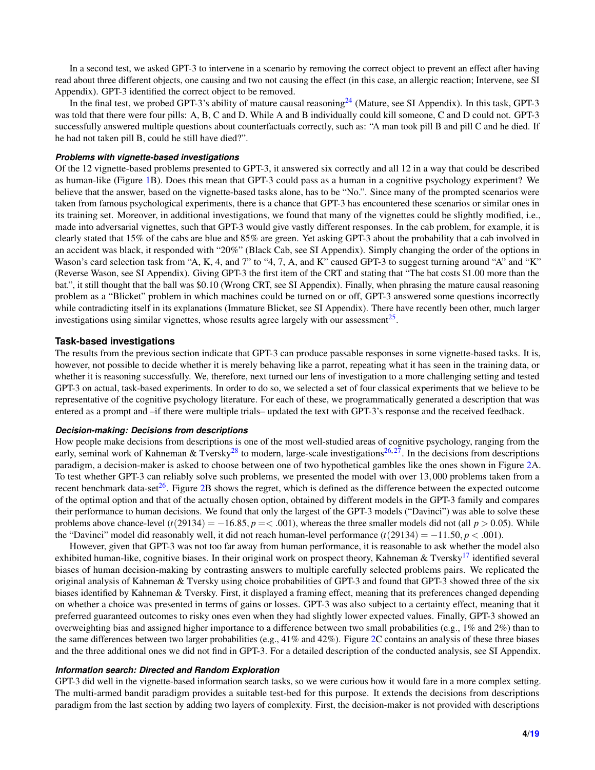In a second test, we asked GPT-3 to intervene in a scenario by removing the correct object to prevent an effect after having read about three different objects, one causing and two not causing the effect (in this case, an allergic reaction; Intervene, see SI Appendix). GPT-3 identified the correct object to be removed.

In the final test, we probed GPT-3's ability of mature causal reasoning<sup>[24](#page-10-23)</sup> (Mature, see SI Appendix). In this task, GPT-3 was told that there were four pills: A, B, C and D. While A and B individually could kill someone, C and D could not. GPT-3 successfully answered multiple questions about counterfactuals correctly, such as: "A man took pill B and pill C and he died. If he had not taken pill B, could he still have died?".

#### *Problems with vignette-based investigations*

Of the 12 vignette-based problems presented to GPT-3, it answered six correctly and all 12 in a way that could be described as human-like (Figure [1B](#page-1-0)). Does this mean that GPT-3 could pass as a human in a cognitive psychology experiment? We believe that the answer, based on the vignette-based tasks alone, has to be "No.". Since many of the prompted scenarios were taken from famous psychological experiments, there is a chance that GPT-3 has encountered these scenarios or similar ones in its training set. Moreover, in additional investigations, we found that many of the vignettes could be slightly modified, i.e., made into adversarial vignettes, such that GPT-3 would give vastly different responses. In the cab problem, for example, it is clearly stated that 15% of the cabs are blue and 85% are green. Yet asking GPT-3 about the probability that a cab involved in an accident was black, it responded with "20%" (Black Cab, see SI Appendix). Simply changing the order of the options in Wason's card selection task from "A, K, 4, and 7" to "4, 7, A, and K" caused GPT-3 to suggest turning around "A" and "K" (Reverse Wason, see SI Appendix). Giving GPT-3 the first item of the CRT and stating that "The bat costs \$1.00 more than the bat.", it still thought that the ball was \$0.10 (Wrong CRT, see SI Appendix). Finally, when phrasing the mature causal reasoning problem as a "Blicket" problem in which machines could be turned on or off, GPT-3 answered some questions incorrectly while contradicting itself in its explanations (Immature Blicket, see SI Appendix). There have recently been other, much larger investigations using similar vignettes, whose results agree largely with our assessment<sup>[25](#page-11-0)</sup>.

#### **Task-based investigations**

The results from the previous section indicate that GPT-3 can produce passable responses in some vignette-based tasks. It is, however, not possible to decide whether it is merely behaving like a parrot, repeating what it has seen in the training data, or whether it is reasoning successfully. We, therefore, next turned our lens of investigation to a more challenging setting and tested GPT-3 on actual, task-based experiments. In order to do so, we selected a set of four classical experiments that we believe to be representative of the cognitive psychology literature. For each of these, we programmatically generated a description that was entered as a prompt and –if there were multiple trials– updated the text with GPT-3's response and the received feedback.

#### *Decision-making: Decisions from descriptions*

How people make decisions from descriptions is one of the most well-studied areas of cognitive psychology, ranging from the early, seminal work of Kahneman & Tversky<sup>[28](#page-11-1)</sup> to modern, large-scale investigations<sup>[26,](#page-11-2)[27](#page-11-3)</sup>. In the decisions from descriptions paradigm, a decision-maker is asked to choose between one of two hypothetical gambles like the ones shown in Figure [2A](#page-4-0). To test whether GPT-3 can reliably solve such problems, we presented the model with over 13,000 problems taken from a recent benchmark data-set<sup>[26](#page-11-2)</sup>. Figure [2B](#page-4-0) shows the regret, which is defined as the difference between the expected outcome of the optimal option and that of the actually chosen option, obtained by different models in the GPT-3 family and compares their performance to human decisions. We found that only the largest of the GPT-3 models ("Davinci") was able to solve these problems above chance-level  $(t(29134) = -16.85, p = < .001)$ , whereas the three smaller models did not (all  $p > 0.05$ ). While the "Davinci" model did reasonably well, it did not reach human-level performance  $(t(29134) = -11.50, p < .001)$ .

However, given that GPT-3 was not too far away from human performance, it is reasonable to ask whether the model also exhibited human-like, cognitive biases. In their original work on prospect theory, Kahneman & Tversky<sup>[17](#page-10-16)</sup> identified several biases of human decision-making by contrasting answers to multiple carefully selected problems pairs. We replicated the original analysis of Kahneman & Tversky using choice probabilities of GPT-3 and found that GPT-3 showed three of the six biases identified by Kahneman & Tversky. First, it displayed a framing effect, meaning that its preferences changed depending on whether a choice was presented in terms of gains or losses. GPT-3 was also subject to a certainty effect, meaning that it preferred guaranteed outcomes to risky ones even when they had slightly lower expected values. Finally, GPT-3 showed an overweighting bias and assigned higher importance to a difference between two small probabilities (e.g., 1% and 2%) than to the same differences between two larger probabilities (e.g., 41% and 42%). Figure [2C](#page-4-0) contains an analysis of these three biases and the three additional ones we did not find in GPT-3. For a detailed description of the conducted analysis, see SI Appendix.

#### *Information search: Directed and Random Exploration*

GPT-3 did well in the vignette-based information search tasks, so we were curious how it would fare in a more complex setting. The multi-armed bandit paradigm provides a suitable test-bed for this purpose. It extends the decisions from descriptions paradigm from the last section by adding two layers of complexity. First, the decision-maker is not provided with descriptions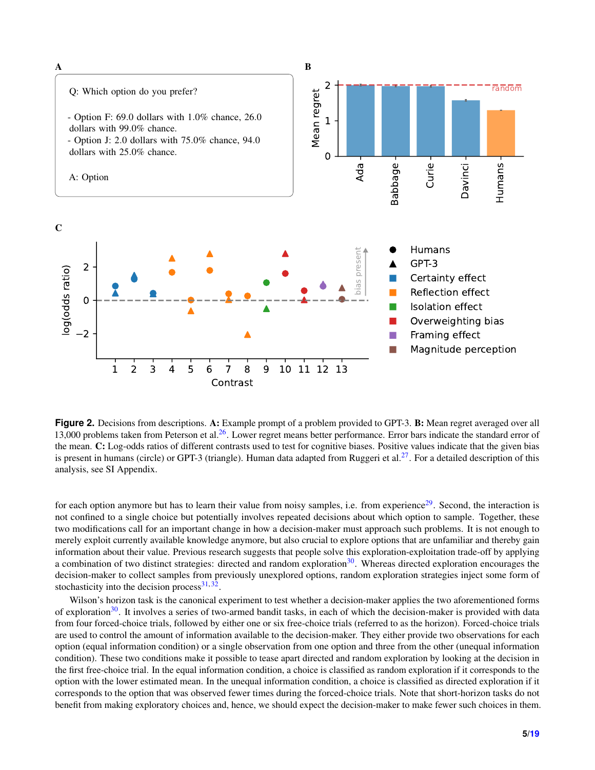<span id="page-4-0"></span>

**Figure 2.** Decisions from descriptions. A: Example prompt of a problem provided to GPT-3. **B:** Mean regret averaged over all 13,000 problems taken from Peterson et al.<sup>[26](#page-11-2)</sup>. Lower regret means better performance. Error bars indicate the standard error of the mean. C: Log-odds ratios of different contrasts used to test for cognitive biases. Positive values indicate that the given bias is present in humans (circle) or GPT-3 (triangle). Human data adapted from Ruggeri et al.<sup>[27](#page-11-3)</sup>. For a detailed description of this analysis, see SI Appendix.

for each option anymore but has to learn their value from noisy samples, i.e. from experience<sup>[29](#page-11-4)</sup>. Second, the interaction is not confined to a single choice but potentially involves repeated decisions about which option to sample. Together, these two modifications call for an important change in how a decision-maker must approach such problems. It is not enough to merely exploit currently available knowledge anymore, but also crucial to explore options that are unfamiliar and thereby gain information about their value. Previous research suggests that people solve this exploration-exploitation trade-off by applying a combination of two distinct strategies: directed and random exploration $30$ . Whereas directed exploration encourages the decision-maker to collect samples from previously unexplored options, random exploration strategies inject some form of stochasticity into the decision process $31,32$  $31,32$ .

Wilson's horizon task is the canonical experiment to test whether a decision-maker applies the two aforementioned forms of exploration $30$ . It involves a series of two-armed bandit tasks, in each of which the decision-maker is provided with data from four forced-choice trials, followed by either one or six free-choice trials (referred to as the horizon). Forced-choice trials are used to control the amount of information available to the decision-maker. They either provide two observations for each option (equal information condition) or a single observation from one option and three from the other (unequal information condition). These two conditions make it possible to tease apart directed and random exploration by looking at the decision in the first free-choice trial. In the equal information condition, a choice is classified as random exploration if it corresponds to the option with the lower estimated mean. In the unequal information condition, a choice is classified as directed exploration if it corresponds to the option that was observed fewer times during the forced-choice trials. Note that short-horizon tasks do not benefit from making exploratory choices and, hence, we should expect the decision-maker to make fewer such choices in them.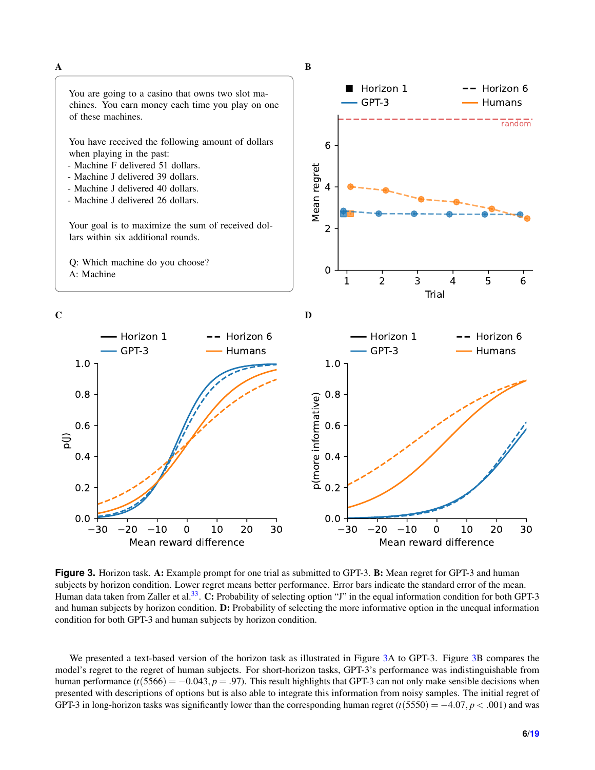<span id="page-5-0"></span>

**Figure 3.** Horizon task. A: Example prompt for one trial as submitted to GPT-3. **B:** Mean regret for GPT-3 and human subjects by horizon condition. Lower regret means better performance. Error bars indicate the standard error of the mean. Human data taken from Zaller et al.<sup>[33](#page-11-8)</sup>. C: Probability of selecting option "J" in the equal information condition for both GPT-3 and human subjects by horizon condition. D: Probability of selecting the more informative option in the unequal information condition for both GPT-3 and human subjects by horizon condition.

We presented a text-based version of the horizon task as illustrated in Figure [3A](#page-5-0) to GPT-3. Figure [3B](#page-5-0) compares the model's regret to the regret of human subjects. For short-horizon tasks, GPT-3's performance was indistinguishable from human performance  $(t(5566) = -0.043, p = .97)$ . This result highlights that GPT-3 can not only make sensible decisions when presented with descriptions of options but is also able to integrate this information from noisy samples. The initial regret of GPT-3 in long-horizon tasks was significantly lower than the corresponding human regret  $(t(5550) = -4.07, p < .001)$  and was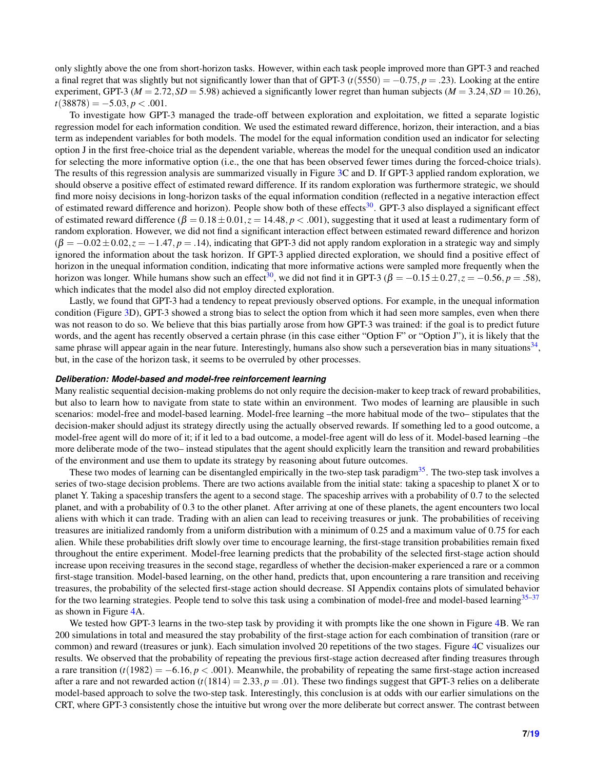only slightly above the one from short-horizon tasks. However, within each task people improved more than GPT-3 and reached a final regret that was slightly but not significantly lower than that of GPT-3  $(t(5550) = -0.75, p = .23)$ . Looking at the entire experiment, GPT-3 ( $M = 2.72$ ,  $SD = 5.98$ ) achieved a significantly lower regret than human subjects ( $M = 3.24$ ,  $SD = 10.26$ ),  $t(38878) = -5.03, p < .001.$ 

To investigate how GPT-3 managed the trade-off between exploration and exploitation, we fitted a separate logistic regression model for each information condition. We used the estimated reward difference, horizon, their interaction, and a bias term as independent variables for both models. The model for the equal information condition used an indicator for selecting option J in the first free-choice trial as the dependent variable, whereas the model for the unequal condition used an indicator for selecting the more informative option (i.e., the one that has been observed fewer times during the forced-choice trials). The results of this regression analysis are summarized visually in Figure [3C](#page-5-0) and D. If GPT-3 applied random exploration, we should observe a positive effect of estimated reward difference. If its random exploration was furthermore strategic, we should find more noisy decisions in long-horizon tasks of the equal information condition (reflected in a negative interaction effect of estimated reward difference and horizon). People show both of these effects<sup>[30](#page-11-5)</sup>. GPT-3 also displayed a significant effect of estimated reward difference  $(\beta = 0.18 \pm 0.01, z = 14.48, p < .001)$ , suggesting that it used at least a rudimentary form of random exploration. However, we did not find a significant interaction effect between estimated reward difference and horizon  $(\beta = -0.02 \pm 0.02, z = -1.47, p = .14)$ , indicating that GPT-3 did not apply random exploration in a strategic way and simply ignored the information about the task horizon. If GPT-3 applied directed exploration, we should find a positive effect of horizon in the unequal information condition, indicating that more informative actions were sampled more frequently when the horizon was longer. While humans show such an effect<sup>[30](#page-11-5)</sup>, we did not find it in GPT-3 ( $\beta = -0.15 \pm 0.27$ ,  $z = -0.56$ ,  $p = .58$ ), which indicates that the model also did not employ directed exploration.

Lastly, we found that GPT-3 had a tendency to repeat previously observed options. For example, in the unequal information condition (Figure [3D](#page-5-0)), GPT-3 showed a strong bias to select the option from which it had seen more samples, even when there was not reason to do so. We believe that this bias partially arose from how GPT-3 was trained: if the goal is to predict future words, and the agent has recently observed a certain phrase (in this case either "Option F" or "Option J"), it is likely that the same phrase will appear again in the near future. Interestingly, humans also show such a perseveration bias in many situations<sup>[34](#page-11-9)</sup>, but, in the case of the horizon task, it seems to be overruled by other processes.

#### *Deliberation: Model-based and model-free reinforcement learning*

Many realistic sequential decision-making problems do not only require the decision-maker to keep track of reward probabilities, but also to learn how to navigate from state to state within an environment. Two modes of learning are plausible in such scenarios: model-free and model-based learning. Model-free learning –the more habitual mode of the two– stipulates that the decision-maker should adjust its strategy directly using the actually observed rewards. If something led to a good outcome, a model-free agent will do more of it; if it led to a bad outcome, a model-free agent will do less of it. Model-based learning –the more deliberate mode of the two– instead stipulates that the agent should explicitly learn the transition and reward probabilities of the environment and use them to update its strategy by reasoning about future outcomes.

These two modes of learning can be disentangled empirically in the two-step task paradigm $35$ . The two-step task involves a series of two-stage decision problems. There are two actions available from the initial state: taking a spaceship to planet X or to planet Y. Taking a spaceship transfers the agent to a second stage. The spaceship arrives with a probability of 0.7 to the selected planet, and with a probability of 0.3 to the other planet. After arriving at one of these planets, the agent encounters two local aliens with which it can trade. Trading with an alien can lead to receiving treasures or junk. The probabilities of receiving treasures are initialized randomly from a uniform distribution with a minimum of 0.25 and a maximum value of 0.75 for each alien. While these probabilities drift slowly over time to encourage learning, the first-stage transition probabilities remain fixed throughout the entire experiment. Model-free learning predicts that the probability of the selected first-stage action should increase upon receiving treasures in the second stage, regardless of whether the decision-maker experienced a rare or a common first-stage transition. Model-based learning, on the other hand, predicts that, upon encountering a rare transition and receiving treasures, the probability of the selected first-stage action should decrease. SI Appendix contains plots of simulated behavior for the two learning strategies. People tend to solve this task using a combination of model-free and model-based learning<sup>[35–](#page-11-10)[37](#page-11-11)</sup> as shown in Figure [4A](#page-7-0).

We tested how GPT-3 learns in the two-step task by providing it with prompts like the one shown in Figure [4B](#page-7-0). We ran 200 simulations in total and measured the stay probability of the first-stage action for each combination of transition (rare or common) and reward (treasures or junk). Each simulation involved 20 repetitions of the two stages. Figure [4C](#page-7-0) visualizes our results. We observed that the probability of repeating the previous first-stage action decreased after finding treasures through a rare transition  $(t(1982) = -6.16, p < .001)$ . Meanwhile, the probability of repeating the same first-stage action increased after a rare and not rewarded action  $(t(1814) = 2.33, p = .01)$ . These two findings suggest that GPT-3 relies on a deliberate model-based approach to solve the two-step task. Interestingly, this conclusion is at odds with our earlier simulations on the CRT, where GPT-3 consistently chose the intuitive but wrong over the more deliberate but correct answer. The contrast between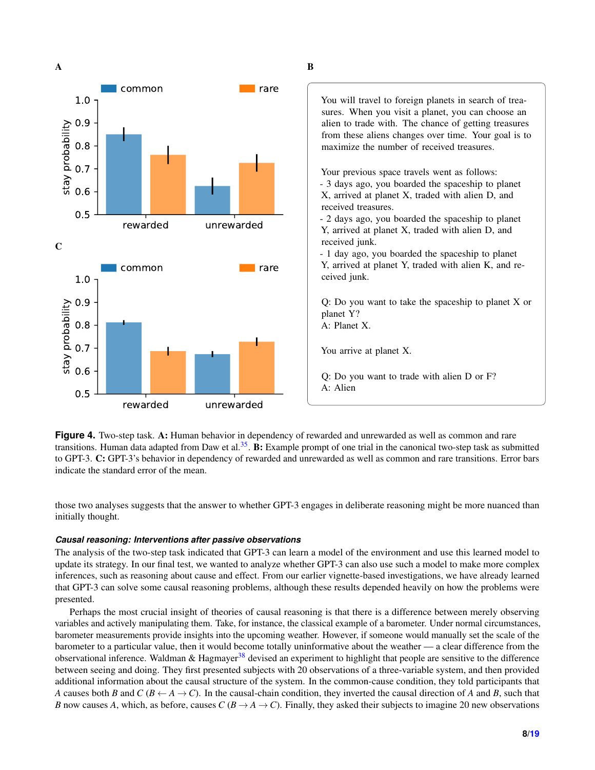<span id="page-7-0"></span>

You will travel to foreign planets in search of treasures. When you visit a planet, you can choose an alien to trade with. The chance of getting treasures from these aliens changes over time. Your goal is to maximize the number of received treasures. Your previous space travels went as follows: - 3 days ago, you boarded the spaceship to planet X, arrived at planet X, traded with alien D, and received treasures. - 2 days ago, you boarded the spaceship to planet Y, arrived at planet X, traded with alien D, and received junk. - 1 day ago, you boarded the spaceship to planet Y, arrived at planet Y, traded with alien K, and received junk. Q: Do you want to take the spaceship to planet X or planet Y? A: Planet X.

You arrive at planet X.

Q: Do you want to trade with alien D or F? A: Alien

**Figure 4.** Two-step task. A: Human behavior in dependency of rewarded and unrewarded as well as common and rare transitions. Human data adapted from Daw et al.<sup>[35](#page-11-10)</sup>. B: Example prompt of one trial in the canonical two-step task as submitted to GPT-3. C: GPT-3's behavior in dependency of rewarded and unrewarded as well as common and rare transitions. Error bars indicate the standard error of the mean.

those two analyses suggests that the answer to whether GPT-3 engages in deliberate reasoning might be more nuanced than initially thought.

#### *Causal reasoning: Interventions after passive observations*

The analysis of the two-step task indicated that GPT-3 can learn a model of the environment and use this learned model to update its strategy. In our final test, we wanted to analyze whether GPT-3 can also use such a model to make more complex inferences, such as reasoning about cause and effect. From our earlier vignette-based investigations, we have already learned that GPT-3 can solve some causal reasoning problems, although these results depended heavily on how the problems were presented.

Perhaps the most crucial insight of theories of causal reasoning is that there is a difference between merely observing variables and actively manipulating them. Take, for instance, the classical example of a barometer. Under normal circumstances, barometer measurements provide insights into the upcoming weather. However, if someone would manually set the scale of the barometer to a particular value, then it would become totally uninformative about the weather — a clear difference from the observational inference. Waldman & Hagmayer<sup>[38](#page-11-12)</sup> devised an experiment to highlight that people are sensitive to the difference between seeing and doing. They first presented subjects with 20 observations of a three-variable system, and then provided additional information about the causal structure of the system. In the common-cause condition, they told participants that *A* causes both *B* and *C* ( $B \leftarrow A \rightarrow C$ ). In the causal-chain condition, they inverted the causal direction of *A* and *B*, such that *B* now causes *A*, which, as before, causes *C* ( $B \rightarrow A \rightarrow C$ ). Finally, they asked their subjects to imagine 20 new observations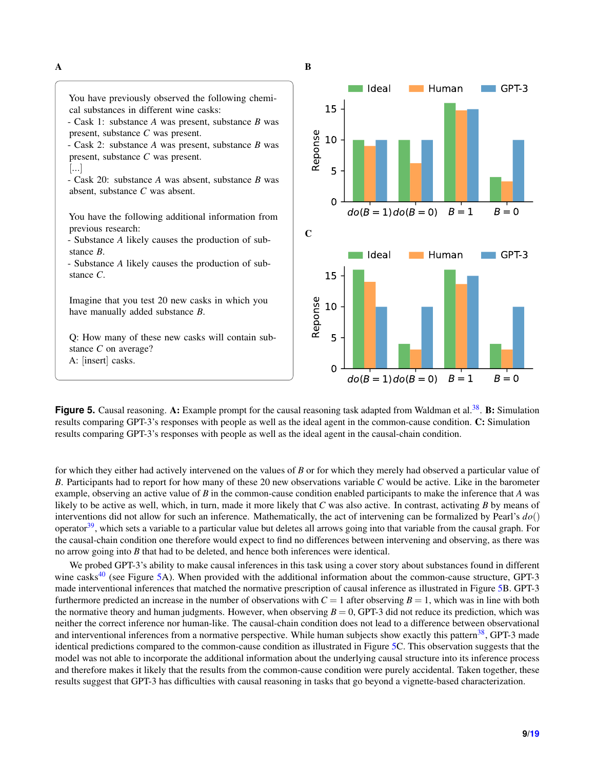<span id="page-8-0"></span>

Figure 5. Causal reasoning. A: Example prompt for the causal reasoning task adapted from Waldman et al.<sup>[38](#page-11-12)</sup>. B: Simulation results comparing GPT-3's responses with people as well as the ideal agent in the common-cause condition. C: Simulation results comparing GPT-3's responses with people as well as the ideal agent in the causal-chain condition.

for which they either had actively intervened on the values of *B* or for which they merely had observed a particular value of *B*. Participants had to report for how many of these 20 new observations variable *C* would be active. Like in the barometer example, observing an active value of *B* in the common-cause condition enabled participants to make the inference that *A* was likely to be active as well, which, in turn, made it more likely that *C* was also active. In contrast, activating *B* by means of interventions did not allow for such an inference. Mathematically, the act of intervening can be formalized by Pearl's *do*() operator<sup>[39](#page-11-13)</sup>, which sets a variable to a particular value but deletes all arrows going into that variable from the causal graph. For the causal-chain condition one therefore would expect to find no differences between intervening and observing, as there was no arrow going into *B* that had to be deleted, and hence both inferences were identical.

We probed GPT-3's ability to make causal inferences in this task using a cover story about substances found in different wine casks<sup>[40](#page-11-14)</sup> (see Figure [5A](#page-8-0)). When provided with the additional information about the common-cause structure, GPT-3 made interventional inferences that matched the normative prescription of causal inference as illustrated in Figure [5B](#page-8-0). GPT-3 furthermore predicted an increase in the number of observations with  $C = 1$  after observing  $B = 1$ , which was in line with both the normative theory and human judgments. However, when observing  $B = 0$ , GPT-3 did not reduce its prediction, which was neither the correct inference nor human-like. The causal-chain condition does not lead to a difference between observational and interventional inferences from a normative perspective. While human subjects show exactly this pattern $38$ , GPT-3 made identical predictions compared to the common-cause condition as illustrated in Figure [5C](#page-8-0). This observation suggests that the model was not able to incorporate the additional information about the underlying causal structure into its inference process and therefore makes it likely that the results from the common-cause condition were purely accidental. Taken together, these results suggest that GPT-3 has difficulties with causal reasoning in tasks that go beyond a vignette-based characterization.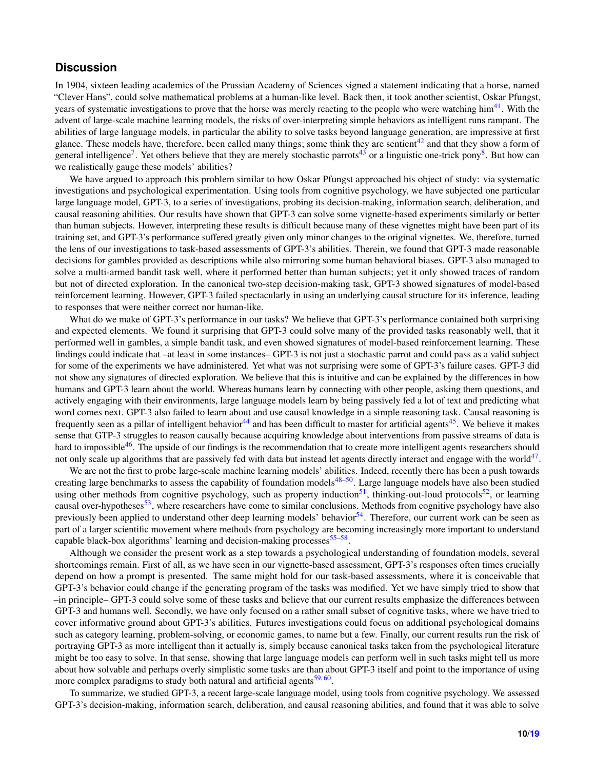### **Discussion**

In 1904, sixteen leading academics of the Prussian Academy of Sciences signed a statement indicating that a horse, named "Clever Hans", could solve mathematical problems at a human-like level. Back then, it took another scientist, Oskar Pfungst, years of systematic investigations to prove that the horse was merely reacting to the people who were watching him<sup>[41](#page-11-15)</sup>. With the advent of large-scale machine learning models, the risks of over-interpreting simple behaviors as intelligent runs rampant. The abilities of large language models, in particular the ability to solve tasks beyond language generation, are impressive at first glance. These models have, therefore, been called many things; some think they are sentient $42$  and that they show a form of general intelligence<sup>[7](#page-10-6)</sup>. Yet others believe that they are merely stochastic parrots<sup>[43](#page-11-17)</sup> or a linguistic one-trick pony<sup>[8](#page-10-7)</sup>. But how can we realistically gauge these models' abilities?

We have argued to approach this problem similar to how Oskar Pfungst approached his object of study: via systematic investigations and psychological experimentation. Using tools from cognitive psychology, we have subjected one particular large language model, GPT-3, to a series of investigations, probing its decision-making, information search, deliberation, and causal reasoning abilities. Our results have shown that GPT-3 can solve some vignette-based experiments similarly or better than human subjects. However, interpreting these results is difficult because many of these vignettes might have been part of its training set, and GPT-3's performance suffered greatly given only minor changes to the original vignettes. We, therefore, turned the lens of our investigations to task-based assessments of GPT-3's abilities. Therein, we found that GPT-3 made reasonable decisions for gambles provided as descriptions while also mirroring some human behavioral biases. GPT-3 also managed to solve a multi-armed bandit task well, where it performed better than human subjects; yet it only showed traces of random but not of directed exploration. In the canonical two-step decision-making task, GPT-3 showed signatures of model-based reinforcement learning. However, GPT-3 failed spectacularly in using an underlying causal structure for its inference, leading to responses that were neither correct nor human-like.

What do we make of GPT-3's performance in our tasks? We believe that GPT-3's performance contained both surprising and expected elements. We found it surprising that GPT-3 could solve many of the provided tasks reasonably well, that it performed well in gambles, a simple bandit task, and even showed signatures of model-based reinforcement learning. These findings could indicate that –at least in some instances– GPT-3 is not just a stochastic parrot and could pass as a valid subject for some of the experiments we have administered. Yet what was not surprising were some of GPT-3's failure cases. GPT-3 did not show any signatures of directed exploration. We believe that this is intuitive and can be explained by the differences in how humans and GPT-3 learn about the world. Whereas humans learn by connecting with other people, asking them questions, and actively engaging with their environments, large language models learn by being passively fed a lot of text and predicting what word comes next. GPT-3 also failed to learn about and use causal knowledge in a simple reasoning task. Causal reasoning is frequently seen as a pillar of intelligent behavior  $44$  and has been difficult to master for artificial agents  $45$ . We believe it makes sense that GTP-3 struggles to reason causally because acquiring knowledge about interventions from passive streams of data is hard to impossible<sup>[46](#page-11-20)</sup>. The upside of our findings is the recommendation that to create more intelligent agents researchers should not only scale up algorithms that are passively fed with data but instead let agents directly interact and engage with the world<sup>[47](#page-11-21)</sup>.

We are not the first to probe large-scale machine learning models' abilities. Indeed, recently there has been a push towards creating large benchmarks to assess the capability of foundation models $48-50$  $48-50$ . Large language models have also been studied using other methods from cognitive psychology, such as property induction<sup>[51](#page-11-24)</sup>, thinking-out-loud protocols<sup>[52](#page-12-0)</sup>, or learning causal over-hypotheses<sup>[53](#page-12-1)</sup>, where researchers have come to similar conclusions. Methods from cognitive psychology have also previously been applied to understand other deep learning models' behavior $54$ . Therefore, our current work can be seen as part of a larger scientific movement where methods from psychology are becoming increasingly more important to understand capable black-box algorithms' learning and decision-making processes<sup>[55–](#page-12-3)[58](#page-12-4)</sup>.

Although we consider the present work as a step towards a psychological understanding of foundation models, several shortcomings remain. First of all, as we have seen in our vignette-based assessment, GPT-3's responses often times crucially depend on how a prompt is presented. The same might hold for our task-based assessments, where it is conceivable that GPT-3's behavior could change if the generating program of the tasks was modified. Yet we have simply tried to show that –in principle– GPT-3 could solve some of these tasks and believe that our current results emphasize the differences between GPT-3 and humans well. Secondly, we have only focused on a rather small subset of cognitive tasks, where we have tried to cover informative ground about GPT-3's abilities. Futures investigations could focus on additional psychological domains such as category learning, problem-solving, or economic games, to name but a few. Finally, our current results run the risk of portraying GPT-3 as more intelligent than it actually is, simply because canonical tasks taken from the psychological literature might be too easy to solve. In that sense, showing that large language models can perform well in such tasks might tell us more about how solvable and perhaps overly simplistic some tasks are than about GPT-3 itself and point to the importance of using more complex paradigms to study both natural and artificial agents<sup>[59,](#page-12-5)[60](#page-12-6)</sup>.

To summarize, we studied GPT-3, a recent large-scale language model, using tools from cognitive psychology. We assessed GPT-3's decision-making, information search, deliberation, and causal reasoning abilities, and found that it was able to solve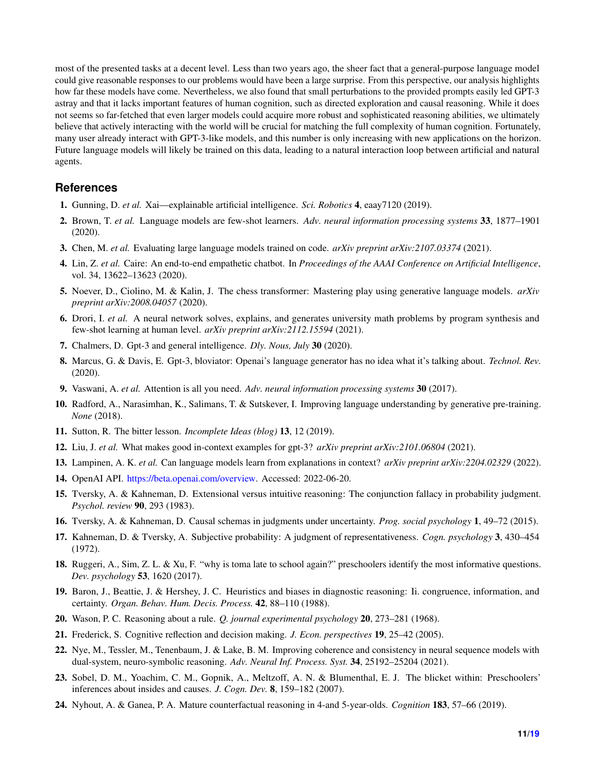most of the presented tasks at a decent level. Less than two years ago, the sheer fact that a general-purpose language model could give reasonable responses to our problems would have been a large surprise. From this perspective, our analysis highlights how far these models have come. Nevertheless, we also found that small perturbations to the provided prompts easily led GPT-3 astray and that it lacks important features of human cognition, such as directed exploration and causal reasoning. While it does not seems so far-fetched that even larger models could acquire more robust and sophisticated reasoning abilities, we ultimately believe that actively interacting with the world will be crucial for matching the full complexity of human cognition. Fortunately, many user already interact with GPT-3-like models, and this number is only increasing with new applications on the horizon. Future language models will likely be trained on this data, leading to a natural interaction loop between artificial and natural agents.

## **References**

- <span id="page-10-0"></span>1. Gunning, D. *et al.* Xai—explainable artificial intelligence. *Sci. Robotics* 4, eaay7120 (2019).
- <span id="page-10-1"></span>2. Brown, T. *et al.* Language models are few-shot learners. *Adv. neural information processing systems* 33, 1877–1901 (2020).
- <span id="page-10-2"></span>3. Chen, M. *et al.* Evaluating large language models trained on code. *arXiv preprint arXiv:2107.03374* (2021).
- <span id="page-10-3"></span>4. Lin, Z. *et al.* Caire: An end-to-end empathetic chatbot. In *Proceedings of the AAAI Conference on Artificial Intelligence*, vol. 34, 13622–13623 (2020).
- <span id="page-10-4"></span>5. Noever, D., Ciolino, M. & Kalin, J. The chess transformer: Mastering play using generative language models. *arXiv preprint arXiv:2008.04057* (2020).
- <span id="page-10-5"></span>6. Drori, I. *et al.* A neural network solves, explains, and generates university math problems by program synthesis and few-shot learning at human level. *arXiv preprint arXiv:2112.15594* (2021).
- <span id="page-10-6"></span>7. Chalmers, D. Gpt-3 and general intelligence. *Dly. Nous, July* 30 (2020).
- <span id="page-10-7"></span>8. Marcus, G. & Davis, E. Gpt-3, bloviator: Openai's language generator has no idea what it's talking about. *Technol. Rev.* (2020).
- <span id="page-10-8"></span>9. Vaswani, A. *et al.* Attention is all you need. *Adv. neural information processing systems* 30 (2017).
- <span id="page-10-9"></span>10. Radford, A., Narasimhan, K., Salimans, T. & Sutskever, I. Improving language understanding by generative pre-training. *None* (2018).
- <span id="page-10-10"></span>11. Sutton, R. The bitter lesson. *Incomplete Ideas (blog)* 13, 12 (2019).
- <span id="page-10-11"></span>12. Liu, J. *et al.* What makes good in-context examples for gpt-3? *arXiv preprint arXiv:2101.06804* (2021).
- <span id="page-10-12"></span>13. Lampinen, A. K. *et al.* Can language models learn from explanations in context? *arXiv preprint arXiv:2204.02329* (2022).
- <span id="page-10-13"></span>14. OpenAI API. [https://beta.openai.com/overview.](https://beta.openai.com/overview) Accessed: 2022-06-20.
- <span id="page-10-14"></span>15. Tversky, A. & Kahneman, D. Extensional versus intuitive reasoning: The conjunction fallacy in probability judgment. *Psychol. review* 90, 293 (1983).
- <span id="page-10-15"></span>16. Tversky, A. & Kahneman, D. Causal schemas in judgments under uncertainty. *Prog. social psychology* 1, 49–72 (2015).
- <span id="page-10-16"></span>17. Kahneman, D. & Tversky, A. Subjective probability: A judgment of representativeness. *Cogn. psychology* 3, 430–454 (1972).
- <span id="page-10-17"></span>18. Ruggeri, A., Sim, Z. L. & Xu, F. "why is toma late to school again?" preschoolers identify the most informative questions. *Dev. psychology* 53, 1620 (2017).
- <span id="page-10-18"></span>19. Baron, J., Beattie, J. & Hershey, J. C. Heuristics and biases in diagnostic reasoning: Ii. congruence, information, and certainty. *Organ. Behav. Hum. Decis. Process.* 42, 88–110 (1988).
- <span id="page-10-19"></span>20. Wason, P. C. Reasoning about a rule. *Q. journal experimental psychology* 20, 273–281 (1968).
- <span id="page-10-20"></span>21. Frederick, S. Cognitive reflection and decision making. *J. Econ. perspectives* 19, 25–42 (2005).
- <span id="page-10-21"></span>22. Nye, M., Tessler, M., Tenenbaum, J. & Lake, B. M. Improving coherence and consistency in neural sequence models with dual-system, neuro-symbolic reasoning. *Adv. Neural Inf. Process. Syst.* 34, 25192–25204 (2021).
- <span id="page-10-22"></span>23. Sobel, D. M., Yoachim, C. M., Gopnik, A., Meltzoff, A. N. & Blumenthal, E. J. The blicket within: Preschoolers' inferences about insides and causes. *J. Cogn. Dev.* 8, 159–182 (2007).
- <span id="page-10-23"></span>24. Nyhout, A. & Ganea, P. A. Mature counterfactual reasoning in 4-and 5-year-olds. *Cognition* 183, 57–66 (2019).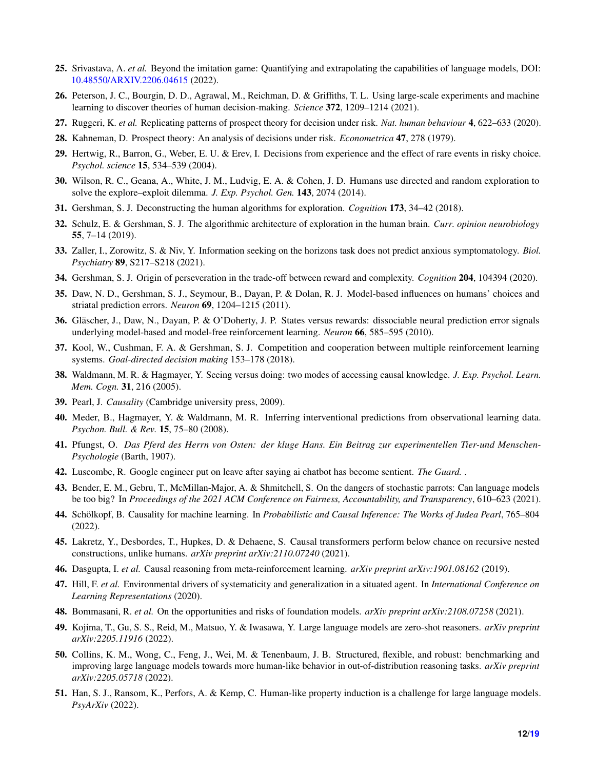- <span id="page-11-0"></span>25. Srivastava, A. *et al.* Beyond the imitation game: Quantifying and extrapolating the capabilities of language models, DOI: <10.48550/ARXIV.2206.04615> (2022).
- <span id="page-11-2"></span>26. Peterson, J. C., Bourgin, D. D., Agrawal, M., Reichman, D. & Griffiths, T. L. Using large-scale experiments and machine learning to discover theories of human decision-making. *Science* 372, 1209–1214 (2021).
- <span id="page-11-3"></span>27. Ruggeri, K. *et al.* Replicating patterns of prospect theory for decision under risk. *Nat. human behaviour* 4, 622–633 (2020).
- <span id="page-11-1"></span>28. Kahneman, D. Prospect theory: An analysis of decisions under risk. *Econometrica* 47, 278 (1979).
- <span id="page-11-4"></span>29. Hertwig, R., Barron, G., Weber, E. U. & Erev, I. Decisions from experience and the effect of rare events in risky choice. *Psychol. science* 15, 534–539 (2004).
- <span id="page-11-5"></span>30. Wilson, R. C., Geana, A., White, J. M., Ludvig, E. A. & Cohen, J. D. Humans use directed and random exploration to solve the explore–exploit dilemma. *J. Exp. Psychol. Gen.* 143, 2074 (2014).
- <span id="page-11-6"></span>31. Gershman, S. J. Deconstructing the human algorithms for exploration. *Cognition* 173, 34–42 (2018).
- <span id="page-11-7"></span>32. Schulz, E. & Gershman, S. J. The algorithmic architecture of exploration in the human brain. *Curr. opinion neurobiology* 55, 7–14 (2019).
- <span id="page-11-8"></span>33. Zaller, I., Zorowitz, S. & Niv, Y. Information seeking on the horizons task does not predict anxious symptomatology. *Biol. Psychiatry* 89, S217–S218 (2021).
- <span id="page-11-9"></span>34. Gershman, S. J. Origin of perseveration in the trade-off between reward and complexity. *Cognition* 204, 104394 (2020).
- <span id="page-11-10"></span>35. Daw, N. D., Gershman, S. J., Seymour, B., Dayan, P. & Dolan, R. J. Model-based influences on humans' choices and striatal prediction errors. *Neuron* 69, 1204–1215 (2011).
- 36. Gläscher, J., Daw, N., Dayan, P. & O'Doherty, J. P. States versus rewards: dissociable neural prediction error signals underlying model-based and model-free reinforcement learning. *Neuron* 66, 585–595 (2010).
- <span id="page-11-11"></span>37. Kool, W., Cushman, F. A. & Gershman, S. J. Competition and cooperation between multiple reinforcement learning systems. *Goal-directed decision making* 153–178 (2018).
- <span id="page-11-12"></span>38. Waldmann, M. R. & Hagmayer, Y. Seeing versus doing: two modes of accessing causal knowledge. *J. Exp. Psychol. Learn. Mem. Cogn.* 31, 216 (2005).
- <span id="page-11-13"></span>39. Pearl, J. *Causality* (Cambridge university press, 2009).
- <span id="page-11-14"></span>40. Meder, B., Hagmayer, Y. & Waldmann, M. R. Inferring interventional predictions from observational learning data. *Psychon. Bull. & Rev.* 15, 75–80 (2008).
- <span id="page-11-15"></span>41. Pfungst, O. *Das Pferd des Herrn von Osten: der kluge Hans. Ein Beitrag zur experimentellen Tier-und Menschen-Psychologie* (Barth, 1907).
- <span id="page-11-16"></span>42. Luscombe, R. Google engineer put on leave after saying ai chatbot has become sentient. *The Guard.* .
- <span id="page-11-17"></span>43. Bender, E. M., Gebru, T., McMillan-Major, A. & Shmitchell, S. On the dangers of stochastic parrots: Can language models be too big? In *Proceedings of the 2021 ACM Conference on Fairness, Accountability, and Transparency*, 610–623 (2021).
- <span id="page-11-18"></span>44. Schölkopf, B. Causality for machine learning. In *Probabilistic and Causal Inference: The Works of Judea Pearl*, 765–804 (2022).
- <span id="page-11-19"></span>45. Lakretz, Y., Desbordes, T., Hupkes, D. & Dehaene, S. Causal transformers perform below chance on recursive nested constructions, unlike humans. *arXiv preprint arXiv:2110.07240* (2021).
- <span id="page-11-20"></span>46. Dasgupta, I. *et al.* Causal reasoning from meta-reinforcement learning. *arXiv preprint arXiv:1901.08162* (2019).
- <span id="page-11-21"></span>47. Hill, F. *et al.* Environmental drivers of systematicity and generalization in a situated agent. In *International Conference on Learning Representations* (2020).
- <span id="page-11-22"></span>48. Bommasani, R. *et al.* On the opportunities and risks of foundation models. *arXiv preprint arXiv:2108.07258* (2021).
- 49. Kojima, T., Gu, S. S., Reid, M., Matsuo, Y. & Iwasawa, Y. Large language models are zero-shot reasoners. *arXiv preprint arXiv:2205.11916* (2022).
- <span id="page-11-23"></span>50. Collins, K. M., Wong, C., Feng, J., Wei, M. & Tenenbaum, J. B. Structured, flexible, and robust: benchmarking and improving large language models towards more human-like behavior in out-of-distribution reasoning tasks. *arXiv preprint arXiv:2205.05718* (2022).
- <span id="page-11-24"></span>51. Han, S. J., Ransom, K., Perfors, A. & Kemp, C. Human-like property induction is a challenge for large language models. *PsyArXiv* (2022).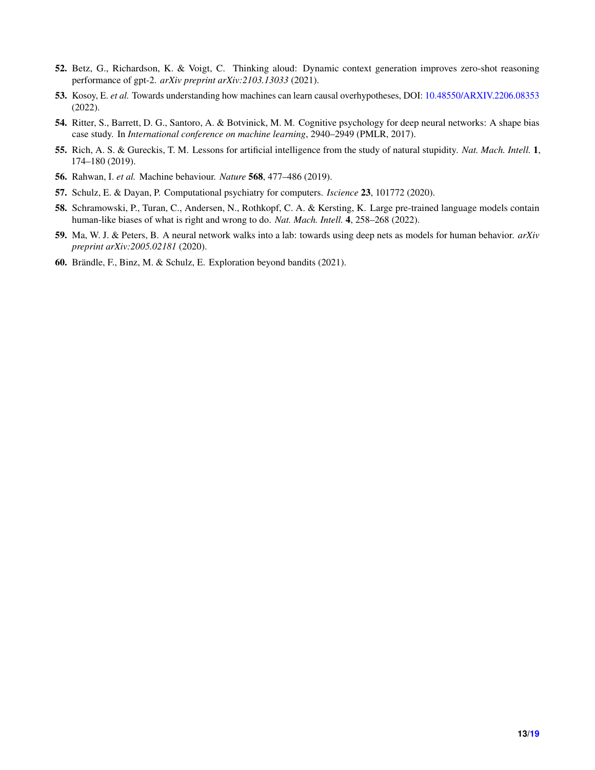- <span id="page-12-0"></span>52. Betz, G., Richardson, K. & Voigt, C. Thinking aloud: Dynamic context generation improves zero-shot reasoning performance of gpt-2. *arXiv preprint arXiv:2103.13033* (2021).
- <span id="page-12-1"></span>53. Kosoy, E. *et al.* Towards understanding how machines can learn causal overhypotheses, DOI: <10.48550/ARXIV.2206.08353> (2022).
- <span id="page-12-2"></span>54. Ritter, S., Barrett, D. G., Santoro, A. & Botvinick, M. M. Cognitive psychology for deep neural networks: A shape bias case study. In *International conference on machine learning*, 2940–2949 (PMLR, 2017).
- <span id="page-12-3"></span>55. Rich, A. S. & Gureckis, T. M. Lessons for artificial intelligence from the study of natural stupidity. *Nat. Mach. Intell.* 1, 174–180 (2019).
- 56. Rahwan, I. *et al.* Machine behaviour. *Nature* 568, 477–486 (2019).
- 57. Schulz, E. & Dayan, P. Computational psychiatry for computers. *Iscience* 23, 101772 (2020).
- <span id="page-12-4"></span>58. Schramowski, P., Turan, C., Andersen, N., Rothkopf, C. A. & Kersting, K. Large pre-trained language models contain human-like biases of what is right and wrong to do. *Nat. Mach. Intell.* 4, 258–268 (2022).
- <span id="page-12-5"></span>59. Ma, W. J. & Peters, B. A neural network walks into a lab: towards using deep nets as models for human behavior. *arXiv preprint arXiv:2005.02181* (2020).
- <span id="page-12-6"></span>60. Brändle, F., Binz, M. & Schulz, E. Exploration beyond bandits (2021).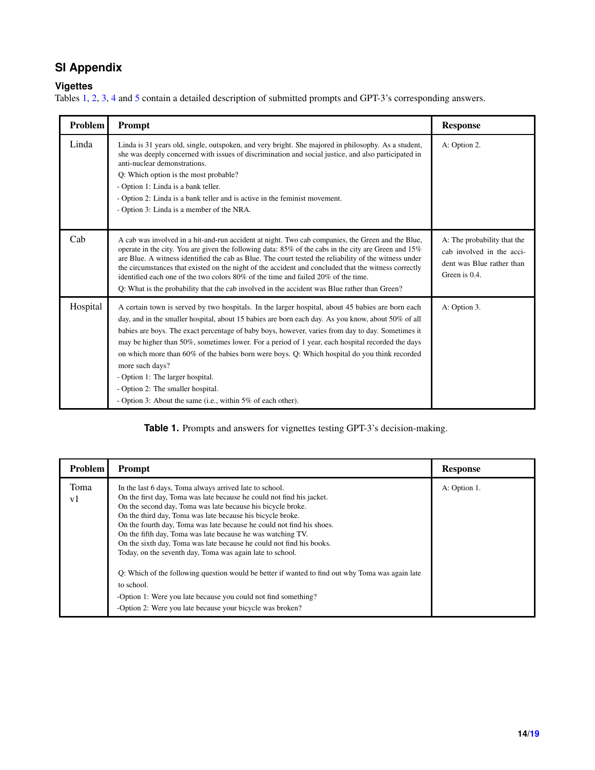# **SI Appendix**

# **Vigettes**

<span id="page-13-0"></span>Tables [1,](#page-13-0) [2,](#page-13-1) [3,](#page-14-0) [4](#page-14-1) and [5](#page-15-0) contain a detailed description of submitted prompts and GPT-3's corresponding answers.

| Problem         | Prompt                                                                                                                                                                                                                                                                                                                                                                                                                                                                                                                                                                                                                                                                     | <b>Response</b>                                                                                        |  |  |
|-----------------|----------------------------------------------------------------------------------------------------------------------------------------------------------------------------------------------------------------------------------------------------------------------------------------------------------------------------------------------------------------------------------------------------------------------------------------------------------------------------------------------------------------------------------------------------------------------------------------------------------------------------------------------------------------------------|--------------------------------------------------------------------------------------------------------|--|--|
| Linda           | Linda is 31 years old, single, outspoken, and very bright. She majored in philosophy. As a student,<br>she was deeply concerned with issues of discrimination and social justice, and also participated in<br>anti-nuclear demonstrations.<br>Q: Which option is the most probable?<br>- Option 1: Linda is a bank teller.<br>- Option 2: Linda is a bank teller and is active in the feminist movement.<br>- Option 3: Linda is a member of the NRA.                                                                                                                                                                                                                      | A: Option 2.                                                                                           |  |  |
| C <sub>ab</sub> | A cab was involved in a hit-and-run accident at night. Two cab companies, the Green and the Blue,<br>operate in the city. You are given the following data: $85\%$ of the cabs in the city are Green and $15\%$<br>are Blue. A witness identified the cab as Blue. The court tested the reliability of the witness under<br>the circumstances that existed on the night of the accident and concluded that the witness correctly<br>identified each one of the two colors 80% of the time and failed 20% of the time.<br>Q: What is the probability that the cab involved in the accident was Blue rather than Green?                                                      | A: The probability that the<br>cab involved in the acci-<br>dent was Blue rather than<br>Green is 0.4. |  |  |
| Hospital        | A certain town is served by two hospitals. In the larger hospital, about 45 babies are born each<br>day, and in the smaller hospital, about 15 babies are born each day. As you know, about 50% of all<br>babies are boys. The exact percentage of baby boys, however, varies from day to day. Sometimes it<br>may be higher than 50%, sometimes lower. For a period of 1 year, each hospital recorded the days<br>on which more than 60% of the babies born were boys. Q: Which hospital do you think recorded<br>more such days?<br>- Option 1: The larger hospital.<br>- Option 2: The smaller hospital.<br>- Option 3: About the same (i.e., within 5% of each other). | A: Option 3.                                                                                           |  |  |

# **Table 1.** Prompts and answers for vignettes testing GPT-3's decision-making.

<span id="page-13-1"></span>

| <b>Problem</b>         | <b>Prompt</b>                                                                                                                                                                                                                                                                                                                                                                                                                                                                                                                              | <b>Response</b> |
|------------------------|--------------------------------------------------------------------------------------------------------------------------------------------------------------------------------------------------------------------------------------------------------------------------------------------------------------------------------------------------------------------------------------------------------------------------------------------------------------------------------------------------------------------------------------------|-----------------|
| Toma<br>v <sub>1</sub> | In the last 6 days, Toma always arrived late to school.<br>On the first day, Toma was late because he could not find his jacket.<br>On the second day, Toma was late because his bicycle broke.<br>On the third day, Toma was late because his bicycle broke.<br>On the fourth day, Toma was late because he could not find his shoes.<br>On the fifth day, Toma was late because he was watching TV.<br>On the sixth day, Toma was late because he could not find his books.<br>Today, on the seventh day, Toma was again late to school. | A: Option 1.    |
|                        | Q: Which of the following question would be better if wanted to find out why Toma was again late<br>to school.<br>-Option 1: Were you late because you could not find something?<br>-Option 2: Were you late because your bicycle was broken?                                                                                                                                                                                                                                                                                              |                 |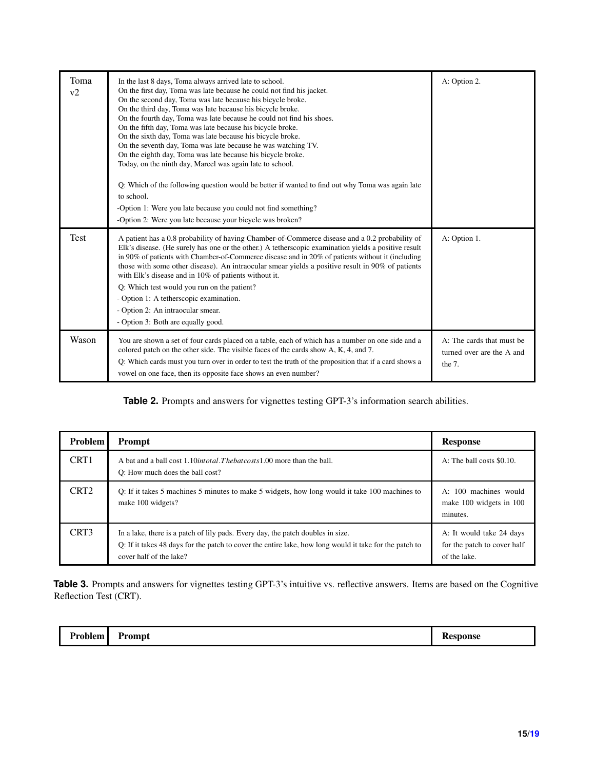| Toma<br>v2  | In the last 8 days, Toma always arrived late to school.<br>On the first day, Toma was late because he could not find his jacket.<br>On the second day, Toma was late because his bicycle broke.<br>On the third day, Toma was late because his bicycle broke.<br>On the fourth day, Toma was late because he could not find his shoes.<br>On the fifth day, Toma was late because his bicycle broke.<br>On the sixth day, Toma was late because his bicycle broke.<br>On the seventh day, Toma was late because he was watching TV.<br>On the eighth day, Toma was late because his bicycle broke.<br>Today, on the ninth day, Marcel was again late to school.<br>Q: Which of the following question would be better if wanted to find out why Toma was again late<br>to school.<br>-Option 1: Were you late because you could not find something?<br>-Option 2: Were you late because your bicycle was broken? | A: Option 2.                                                     |
|-------------|------------------------------------------------------------------------------------------------------------------------------------------------------------------------------------------------------------------------------------------------------------------------------------------------------------------------------------------------------------------------------------------------------------------------------------------------------------------------------------------------------------------------------------------------------------------------------------------------------------------------------------------------------------------------------------------------------------------------------------------------------------------------------------------------------------------------------------------------------------------------------------------------------------------|------------------------------------------------------------------|
| <b>Test</b> | A patient has a 0.8 probability of having Chamber-of-Commerce disease and a 0.2 probability of<br>Elk's disease. (He surely has one or the other.) A tetherscopic examination yields a positive result<br>in 90% of patients with Chamber-of-Commerce disease and in 20% of patients without it (including<br>those with some other disease). An intraocular smear yields a positive result in 90% of patients<br>with Elk's disease and in 10% of patients without it.<br>Q: Which test would you run on the patient?<br>- Option 1: A tetherscopic examination.<br>- Option 2: An intraocular smear.<br>- Option 3: Both are equally good.                                                                                                                                                                                                                                                                     | A: Option 1.                                                     |
| Wason       | You are shown a set of four cards placed on a table, each of which has a number on one side and a<br>colored patch on the other side. The visible faces of the cards show A, K, 4, and 7.<br>Q: Which cards must you turn over in order to test the truth of the proposition that if a card shows a<br>vowel on one face, then its opposite face shows an even number?                                                                                                                                                                                                                                                                                                                                                                                                                                                                                                                                           | A: The cards that must be<br>turned over are the A and<br>the 7. |

### **Table 2.** Prompts and answers for vignettes testing GPT-3's information search abilities.

<span id="page-14-0"></span>

| <b>Problem</b>   | <b>Prompt</b>                                                                                                                                                                                                        | <b>Response</b>                                                         |  |  |
|------------------|----------------------------------------------------------------------------------------------------------------------------------------------------------------------------------------------------------------------|-------------------------------------------------------------------------|--|--|
| CRT <sub>1</sub> | A bat and a ball cost 1.10 <i>intotal. The bat costs</i> 1.00 more than the ball.<br>O: How much does the ball cost?                                                                                                 | A: The ball costs \$0.10.                                               |  |  |
| CRT <sub>2</sub> | O: If it takes 5 machines 5 minutes to make 5 widgets, how long would it take 100 machines to<br>make 100 widgets?                                                                                                   | A: 100 machines would<br>make 100 widgets in 100<br>minutes.            |  |  |
| CRT <sub>3</sub> | In a lake, there is a patch of lily pads. Every day, the patch doubles in size.<br>Q: If it takes 48 days for the patch to cover the entire lake, how long would it take for the patch to<br>cover half of the lake? | A: It would take 24 days<br>for the patch to cover half<br>of the lake. |  |  |

Table 3. Prompts and answers for vignettes testing GPT-3's intuitive vs. reflective answers. Items are based on the Cognitive Reflection Test (CRT).

<span id="page-14-1"></span>

| oblem· | $-$           | <b>INCO</b> |
|--------|---------------|-------------|
| .      | <b>Prompt</b> | ASU         |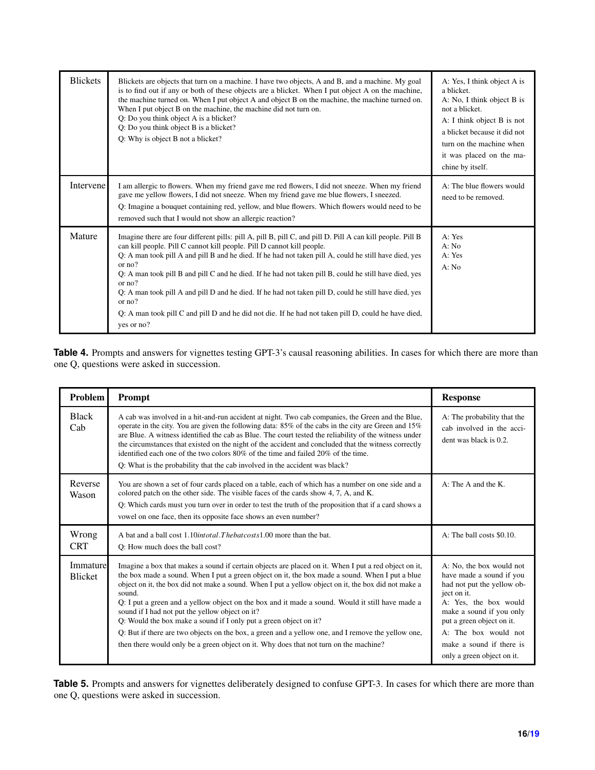| <b>Blickets</b> | Blickets are objects that turn on a machine. I have two objects, A and B, and a machine. My goal<br>is to find out if any or both of these objects are a blicket. When I put object A on the machine,<br>the machine turned on. When I put object A and object B on the machine, the machine turned on.<br>When I put object B on the machine, the machine did not turn on.<br>Q: Do you think object A is a blicket?<br>Q: Do you think object B is a blicket?<br>Q: Why is object B not a blicket?                                                                                                                                                                    | A: Yes, I think object A is<br>a blicket.<br>A: No, I think object B is<br>not a blicket.<br>A: I think object B is not<br>a blicket because it did not<br>turn on the machine when<br>it was placed on the ma-<br>chine by itself. |  |  |
|-----------------|-------------------------------------------------------------------------------------------------------------------------------------------------------------------------------------------------------------------------------------------------------------------------------------------------------------------------------------------------------------------------------------------------------------------------------------------------------------------------------------------------------------------------------------------------------------------------------------------------------------------------------------------------------------------------|-------------------------------------------------------------------------------------------------------------------------------------------------------------------------------------------------------------------------------------|--|--|
| Intervene       | I am allergic to flowers. When my friend gave me red flowers, I did not sneeze. When my friend<br>gave me yellow flowers, I did not sneeze. When my friend gave me blue flowers, I sneezed.<br>Q: Imagine a bouquet containing red, yellow, and blue flowers. Which flowers would need to be<br>removed such that I would not show an allergic reaction?                                                                                                                                                                                                                                                                                                                | A: The blue flowers would<br>need to be removed.                                                                                                                                                                                    |  |  |
| Mature          | Imagine there are four different pills: pill A, pill B, pill C, and pill D. Pill A can kill people. Pill B<br>can kill people. Pill C cannot kill people. Pill D cannot kill people.<br>Q: A man took pill A and pill B and he died. If he had not taken pill A, could he still have died, yes<br>or no?<br>Q: A man took pill B and pill C and he died. If he had not taken pill B, could he still have died, yes<br>or $no?$<br>Q: A man took pill A and pill D and he died. If he had not taken pill D, could he still have died, yes<br>or no?<br>Q: A man took pill C and pill D and he did not die. If he had not taken pill D, could he have died,<br>yes or no? | A: Yes<br>A: No<br>A: Yes<br>A: No                                                                                                                                                                                                  |  |  |

Table 4. Prompts and answers for vignettes testing GPT-3's causal reasoning abilities. In cases for which there are more than one Q, questions were asked in succession.

<span id="page-15-0"></span>

| Problem                    | Prompt                                                                                                                                                                                                                                                                                                                                                                                                                                                                                                                                                                                                                                                                                                                                             | <b>Response</b>                                                                                                                                                                                                                                                       |  |  |
|----------------------------|----------------------------------------------------------------------------------------------------------------------------------------------------------------------------------------------------------------------------------------------------------------------------------------------------------------------------------------------------------------------------------------------------------------------------------------------------------------------------------------------------------------------------------------------------------------------------------------------------------------------------------------------------------------------------------------------------------------------------------------------------|-----------------------------------------------------------------------------------------------------------------------------------------------------------------------------------------------------------------------------------------------------------------------|--|--|
| <b>Black</b><br>Cab        | A cab was involved in a hit-and-run accident at night. Two cab companies, the Green and the Blue,<br>operate in the city. You are given the following data: 85% of the cabs in the city are Green and 15%<br>are Blue. A witness identified the cab as Blue. The court tested the reliability of the witness under<br>the circumstances that existed on the night of the accident and concluded that the witness correctly<br>identified each one of the two colors 80% of the time and failed 20% of the time.<br>Q: What is the probability that the cab involved in the accident was black?                                                                                                                                                     | A: The probability that the<br>cab involved in the acci-<br>dent was black is 0.2.                                                                                                                                                                                    |  |  |
| Reverse<br>Wason           | You are shown a set of four cards placed on a table, each of which has a number on one side and a<br>colored patch on the other side. The visible faces of the cards show 4, 7, A, and K.<br>Q: Which cards must you turn over in order to test the truth of the proposition that if a card shows a<br>vowel on one face, then its opposite face shows an even number?                                                                                                                                                                                                                                                                                                                                                                             | A: The A and the K.                                                                                                                                                                                                                                                   |  |  |
| Wrong<br><b>CRT</b>        | A bat and a ball cost 1.10 <i>intotal. The bat costs</i> 1.00 more than the bat.<br>Q: How much does the ball cost?                                                                                                                                                                                                                                                                                                                                                                                                                                                                                                                                                                                                                                | A: The ball costs \$0.10.                                                                                                                                                                                                                                             |  |  |
| Immature<br><b>Blicket</b> | Imagine a box that makes a sound if certain objects are placed on it. When I put a red object on it,<br>the box made a sound. When I put a green object on it, the box made a sound. When I put a blue<br>object on it, the box did not make a sound. When I put a yellow object on it, the box did not make a<br>sound.<br>Q: I put a green and a yellow object on the box and it made a sound. Would it still have made a<br>sound if I had not put the yellow object on it?<br>Q: Would the box make a sound if I only put a green object on it?<br>Q: But if there are two objects on the box, a green and a yellow one, and I remove the yellow one,<br>then there would only be a green object on it. Why does that not turn on the machine? | A: No, the box would not<br>have made a sound if you<br>had not put the yellow ob-<br>ject on it.<br>A: Yes, the box would<br>make a sound if you only<br>put a green object on it.<br>A: The box would not<br>make a sound if there is<br>only a green object on it. |  |  |

**Table 5.** Prompts and answers for vignettes deliberately designed to confuse GPT-3. In cases for which there are more than one Q, questions were asked in succession.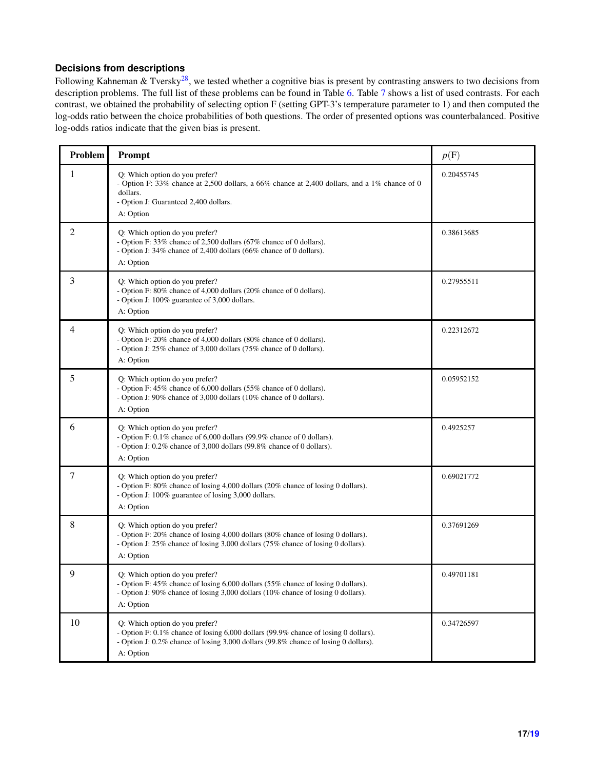## **Decisions from descriptions**

Following Kahneman & Tversky<sup>[28](#page-11-1)</sup>, we tested whether a cognitive bias is present by contrasting answers to two decisions from description problems. The full list of these problems can be found in Table [6.](#page-16-0) Table [7](#page-17-0) shows a list of used contrasts. For each contrast, we obtained the probability of selecting option F (setting GPT-3's temperature parameter to 1) and then computed the log-odds ratio between the choice probabilities of both questions. The order of presented options was counterbalanced. Positive log-odds ratios indicate that the given bias is present.

<span id="page-16-0"></span>

| Problem | Prompt                                                                                                                                                                                                                    | p(F)       |
|---------|---------------------------------------------------------------------------------------------------------------------------------------------------------------------------------------------------------------------------|------------|
| 1       | Q: Which option do you prefer?<br>- Option F: 33% chance at 2,500 dollars, a 66% chance at 2,400 dollars, and a 1% chance of 0<br>dollars.<br>- Option J: Guaranteed 2,400 dollars.<br>A: Option                          | 0.20455745 |
| 2       | Q: Which option do you prefer?<br>- Option F: 33% chance of 2,500 dollars (67% chance of 0 dollars).<br>- Option J: 34% chance of 2,400 dollars (66% chance of 0 dollars).<br>A: Option                                   | 0.38613685 |
| 3       | Q: Which option do you prefer?<br>- Option F: 80% chance of 4,000 dollars (20% chance of 0 dollars).<br>- Option J: 100% guarantee of 3,000 dollars.<br>A: Option                                                         | 0.27955511 |
| 4       | Q: Which option do you prefer?<br>- Option F: 20% chance of 4,000 dollars (80% chance of 0 dollars).<br>- Option J: 25% chance of 3,000 dollars (75% chance of 0 dollars).<br>A: Option                                   | 0.22312672 |
| 5       | Q: Which option do you prefer?<br>- Option F: 45% chance of 6,000 dollars (55% chance of 0 dollars).<br>- Option J: 90% chance of 3,000 dollars (10% chance of 0 dollars).<br>A: Option                                   | 0.05952152 |
| 6       | Q: Which option do you prefer?<br>- Option F: 0.1% chance of 6,000 dollars (99.9% chance of 0 dollars).<br>- Option J: 0.2% chance of 3,000 dollars (99.8% chance of 0 dollars).<br>A: Option                             | 0.4925257  |
| 7       | Q: Which option do you prefer?<br>- Option F: 80% chance of losing 4,000 dollars (20% chance of losing 0 dollars).<br>- Option J: 100% guarantee of losing 3,000 dollars.<br>A: Option                                    | 0.69021772 |
| 8       | Q: Which option do you prefer?<br>- Option F: 20% chance of losing 4,000 dollars (80% chance of losing 0 dollars).<br>- Option J: 25% chance of losing 3,000 dollars (75% chance of losing 0 dollars).<br>A: Option       | 0.37691269 |
| 9       | Q: Which option do you prefer?<br>- Option F: 45% chance of losing 6,000 dollars (55% chance of losing 0 dollars).<br>- Option J: 90% chance of losing 3,000 dollars (10% chance of losing 0 dollars).<br>A: Option       | 0.49701181 |
| 10      | Q: Which option do you prefer?<br>- Option F: 0.1% chance of losing 6,000 dollars (99.9% chance of losing 0 dollars).<br>- Option J: 0.2% chance of losing 3,000 dollars (99.8% chance of losing 0 dollars).<br>A: Option | 0.34726597 |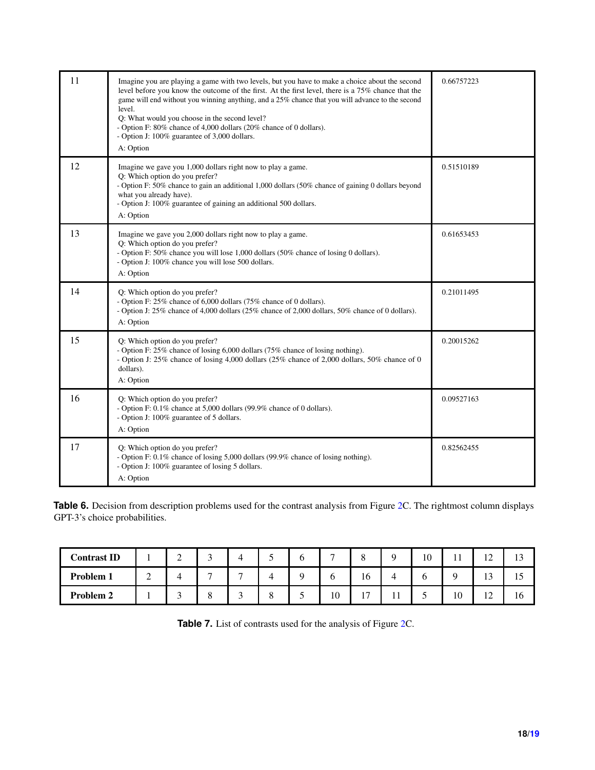| 11 | Imagine you are playing a game with two levels, but you have to make a choice about the second<br>level before you know the outcome of the first. At the first level, there is a 75% chance that the<br>game will end without you winning anything, and a 25% chance that you will advance to the second<br>level.<br>Q: What would you choose in the second level?<br>- Option F: 80% chance of 4,000 dollars (20% chance of 0 dollars).<br>- Option J: 100% guarantee of 3,000 dollars.<br>A: Option | 0.66757223 |
|----|--------------------------------------------------------------------------------------------------------------------------------------------------------------------------------------------------------------------------------------------------------------------------------------------------------------------------------------------------------------------------------------------------------------------------------------------------------------------------------------------------------|------------|
| 12 | Imagine we gave you 1,000 dollars right now to play a game.<br>Q: Which option do you prefer?<br>- Option F: 50% chance to gain an additional 1,000 dollars (50% chance of gaining 0 dollars beyond<br>what you already have).<br>- Option J: 100% guarantee of gaining an additional 500 dollars.<br>A: Option                                                                                                                                                                                        | 0.51510189 |
| 13 | Imagine we gave you 2,000 dollars right now to play a game.<br>Q: Which option do you prefer?<br>- Option F: 50% chance you will lose 1,000 dollars (50% chance of losing 0 dollars).<br>- Option J: 100% chance you will lose 500 dollars.<br>A: Option                                                                                                                                                                                                                                               | 0.61653453 |
| 14 | Q: Which option do you prefer?<br>- Option F: 25% chance of 6,000 dollars (75% chance of 0 dollars).<br>- Option J: 25% chance of 4,000 dollars (25% chance of 2,000 dollars, 50% chance of 0 dollars).<br>A: Option                                                                                                                                                                                                                                                                                   | 0.21011495 |
| 15 | Q: Which option do you prefer?<br>- Option F: 25% chance of losing 6,000 dollars (75% chance of losing nothing).<br>- Option J: 25% chance of losing 4,000 dollars (25% chance of 2,000 dollars, 50% chance of 0<br>dollars).<br>A: Option                                                                                                                                                                                                                                                             | 0.20015262 |
| 16 | Q: Which option do you prefer?<br>- Option F: 0.1% chance at 5,000 dollars (99.9% chance of 0 dollars).<br>- Option J: 100% guarantee of 5 dollars.<br>A: Option                                                                                                                                                                                                                                                                                                                                       | 0.09527163 |
| 17 | Q: Which option do you prefer?<br>- Option F: 0.1% chance of losing 5,000 dollars (99.9% chance of losing nothing).<br>- Option J: 100% guarantee of losing 5 dollars.<br>A: Option                                                                                                                                                                                                                                                                                                                    | 0.82562455 |

**Table 6.** Decision from description problems used for the contrast analysis from Figure [2C](#page-4-0). The rightmost column displays GPT-3's choice probabilities.

<span id="page-17-0"></span>

| <b>Contrast ID</b> |   | $\sim$<br>∸ | 4              | O | −  | $\Omega$              | $\Omega$ | 10 | . . | $\sim$<br>$\overline{1}$ |    |
|--------------------|---|-------------|----------------|---|----|-----------------------|----------|----|-----|--------------------------|----|
| <b>Problem 1</b>   | ∼ |             | $\overline{ }$ |   |    | 10                    |          |    |     | $\sim$<br>⊥ັ             |    |
| Problem 2          |   |             | $\sim$         | ້ | 10 | 1 <sub>7</sub><br>. . | . .      |    | 10  | $\overline{1}$           | 10 |

**Table 7.** List of contrasts used for the analysis of Figure [2C](#page-4-0).